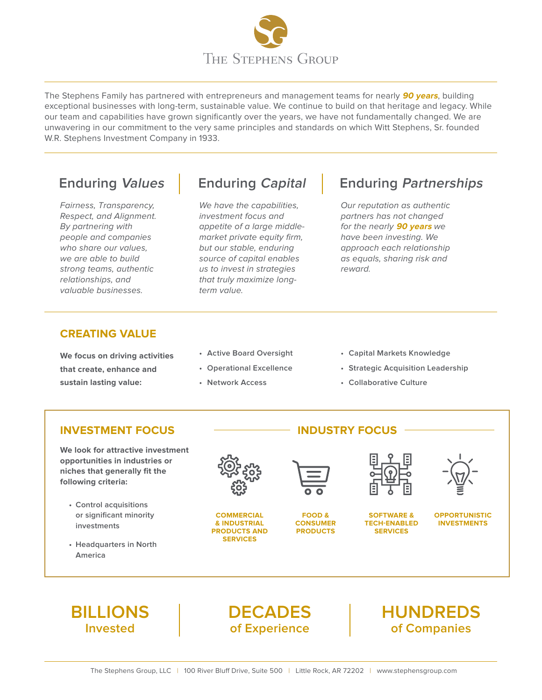

The Stephens Family has partnered with entrepreneurs and management teams for nearly **90 years**, building exceptional businesses with long-term, sustainable value. We continue to build on that heritage and legacy. While our team and capabilities have grown significantly over the years, we have not fundamentally changed. We are unwavering in our commitment to the very same principles and standards on which Witt Stephens, Sr. founded W.R. Stephens Investment Company in 1933.

Fairness, Transparency, Respect, and Alignment. By partnering with people and companies who share our values. we are able to build strong teams, authentic relationships, and valuable businesses.

We have the capabilities, investment focus and appetite of a large middlemarket private equity firm, but our stable, enduring source of capital enables us to invest in strategies that truly maximize longterm value.

# **Enduring Values Enduring Capital Enduring Partnerships**

Our reputation as authentic partners has not changed for the nearly **90 years** we have been investing. We approach each relationship as equals, sharing risk and reward.

### **CREATING VALUE**

**We focus on driving activities that create, enhance and sustain lasting value:**

- **• Active Board Oversight**
- **• Operational Excellence**
- **• Network Access**
- **• Capital Markets Knowledge**
- **• Strategic Acquisition Leadership**
- **• Collaborative Culture**

### **INVESTMENT FOCUS**

**We look for attractive investment opportunities in industries or niches that generally fit the following criteria:**

- **• Control acquisitions or significant minority investments**
- **• Headquarters in North America**



**COMMERCIAL & INDUSTRIAL PRODUCTS AND SERVICES**



**INDUSTRY FOCUS**

**FOOD & CONSUMER PRODUCTS**



**SOFTWARE & TECH-ENABLED SERVICES**



**OPPORTUNISTIC INVESTMENTS**



**DECADES of Experience**